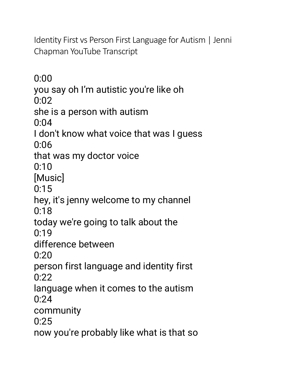[Identity First vs Person First Language for Autism | Jenni](https://www.youtube.com/watch?v=WPa4joYgYTA)  [Chapman YouTube](https://www.youtube.com/watch?v=WPa4joYgYTA) Transcript

0:00 you say oh I'm autistic you're like oh 0:02 she is a person with autism  $0:04$ I don't know what voice that was I guess 0:06 that was my doctor voice 0:10 [Music]  $0:15$ hey, it's jenny welcome to my channel 0:18 today we're going to talk about the 0:19 difference between 0:20 person first language and identity first 0:22 language when it comes to the autism 0:24 community  $0.25$ now you're probably like what is that so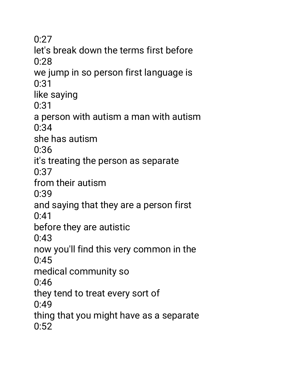0:27 let's break down the terms first before 0:28 we jump in so person first language is 0:31 like saying 0:31 a person with autism a man with autism 0:34 she has autism 0:36 it's treating the person as separate 0:37 from their autism 0:39 and saying that they are a person first 0:41 before they are autistic 0:43 now you'll find this very common in the 0:45 medical community so 0:46 they tend to treat every sort of 0:49 thing that you might have as a separate  $0:52$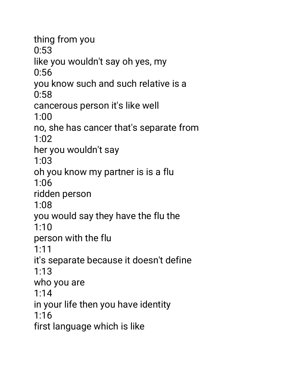thing from you 0:53 like you wouldn't say oh yes, my 0:56 you know such and such relative is a 0:58 cancerous person it's like well 1:00 no, she has cancer that's separate from 1:02 her you wouldn't say 1:03 oh you know my partner is is a flu 1:06 ridden person 1:08 you would say they have the flu the 1:10 person with the flu 1:11 it's separate because it doesn't define 1:13 who you are 1:14 in your life then you have identity 1:16 first language which is like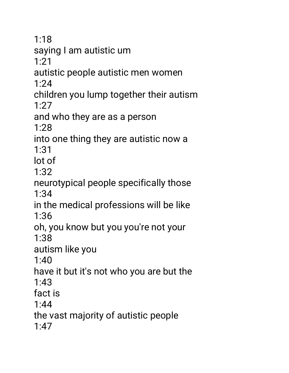1:18 saying I am autistic um 1:21 autistic people autistic men women 1:24 children you lump together their autism 1:27 and who they are as a person 1:28 into one thing they are autistic now a 1:31 lot of 1:32 neurotypical people specifically those 1:34 in the medical professions will be like 1:36 oh, you know but you you're not your 1:38 autism like you 1:40 have it but it's not who you are but the 1:43 fact is 1:44 the vast majority of autistic people 1:47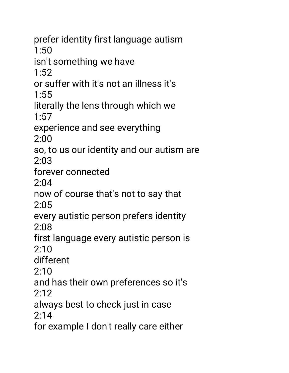prefer identity first language autism 1:50 isn't something we have  $1:52$ or suffer with it's not an illness it's 1:55 literally the lens through which we  $1:57$ experience and see everything 2:00 so, to us our identity and our autism are 2:03 forever connected 2:04 now of course that's not to say that 2:05 every autistic person prefers identity 2:08 first language every autistic person is 2:10 different  $2:10$ 

and has their own preferences so it's 2:12

always best to check just in case

 $2:14$ 

for example I don't really care either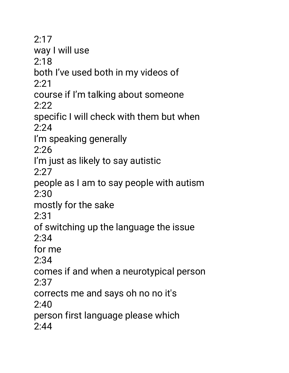2:17 way I will use 2:18 both I've used both in my videos of 2:21 course if I'm talking about someone 2:22 specific I will check with them but when 2:24 I'm speaking generally 2:26 I'm just as likely to say autistic  $2.27$ people as I am to say people with autism 2:30 mostly for the sake 2:31 of switching up the language the issue 2:34 for me 2:34 comes if and when a neurotypical person 2:37 corrects me and says oh no no it's  $2.40$ person first language please which 2:44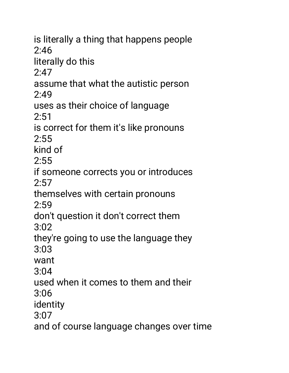is literally a thing that happens people  $2:46$ literally do this  $2:47$ assume that what the autistic person 2:49 uses as their choice of language  $2:51$ is correct for them it's like pronouns 2:55 kind of  $2:55$ if someone corrects you or introduces 2:57 themselves with certain pronouns 2:59 don't question it don't correct them 3:02 they're going to use the language they 3:03 want 3:04 used when it comes to them and their 3:06 identity 3:07 and of course language changes over time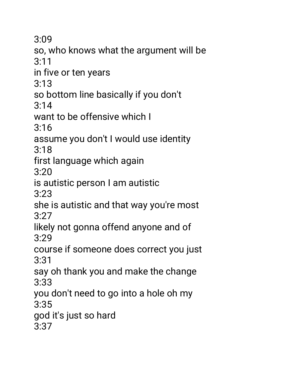3:09

so, who knows what the argument will be 3:11

in five or ten years

3:13

so bottom line basically if you don't

3:14

want to be offensive which I

3:16

assume you don't I would use identity 3:18

first language which again

3:20

is autistic person I am autistic

3:23

she is autistic and that way you're most 3:27

likely not gonna offend anyone and of 3:29

course if someone does correct you just 3:31

say oh thank you and make the change 3:33

you don't need to go into a hole oh my 3:35

god it's just so hard

3:37